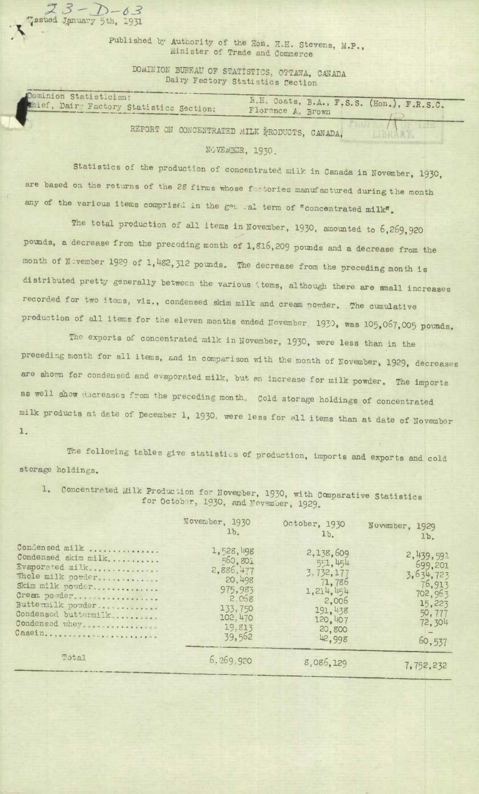Published by Authority of the Hon. H.H. Stevens, M.P., Minister of Trade and Commerce

 $\begin{array}{c}\nZ & -D-\delta 3 \\
\text{Fssued January 5th, 1931}\n\end{array}$ 

DOMINION BUREAU OF STATISTICS, OTTAWA, CANADA Dairy Factory Statistics Section

| Cominion Statistician:<br>thief, Dairy Factory Statistics Section; |  | R.H. Coats, B.A., F.S.S. (Hon.), F.R.S.C.<br>Florence A. Brown |  |  |
|--------------------------------------------------------------------|--|----------------------------------------------------------------|--|--|
|                                                                    |  | REPORT ON CONCENTRATED MILK PRODUCTS. CANADA.                  |  |  |

## NOVEMBER, 1930.

Statistics of the production of concentrated milk in Canada in November, 1930, are based on the returns of the 28 firms whose factories manufactured during the month any of the various items comprised in the general term of "concentrated milk".

The total production of all items in November, 1930, amounted to  $6,269,920$ pounds, a decrease from the preceding month of 1,816,209 pounds and a decrease from the month of Nevember 1929 of 1,482,312 pounds. The decrease from the preceding month is distributed pretty generally between the various items, although there **are small increases**  recorded for two items, viz., condensed skim milk and cream powder. The cumulative production of all items for the eleven months ended November, 1930, was 105,067,005 pounds.

The exports of concentrated milk in November, 1930, were less than in the preceding month for all items, and in comparison with the month of November, 1929, decreases are shown for condensed and evaporated milk, but an increase for milk powder. The imports as well show decreases from the preceding month, Cold storage holdings of concentrated milk products at date of December 1, 1930, were less for all items than at date of November 1,

The following tables give statistics of production, imports and exports and cold storage holdings.

1. Concentrated Milk Production for November, 1930, with Comparative Statistics for October, 1930, and November, 1929.

|                                                                                                                                                                                             | November, 1930<br>1 <sub>b</sub>                                                                          | October, 1930<br>1 <sub>b</sub>                                                                               | November, 1929<br>1 <sub>b</sub>                                                                     |
|---------------------------------------------------------------------------------------------------------------------------------------------------------------------------------------------|-----------------------------------------------------------------------------------------------------------|---------------------------------------------------------------------------------------------------------------|------------------------------------------------------------------------------------------------------|
| Condensed milk<br>Condensed skim milk<br>Evaporated milk<br>Thole milk powder<br>Skim milk powder<br>Creen powder<br>Butternilk powder<br>Condensed buttermilk<br>Condensed whey.<br>Casein | 1,528,498<br>560.801<br>2,886.477<br>20,498<br>975,983<br>2.068<br>133,750<br>102.470<br>19,813<br>39,562 | 2,138,609<br>551,454<br>3,732,177<br>71.786<br>1, 214, 454<br>2,006<br>191.438<br>120,407<br>20,800<br>42,998 | 2, 439, 591<br>699.201<br>3, 634, 723<br>76,913<br>702, 963<br>15,223<br>50,777<br>72, 304<br>60,537 |
| Total                                                                                                                                                                                       | 6, 269, 920                                                                                               | 8,086,129                                                                                                     | 7,752,232                                                                                            |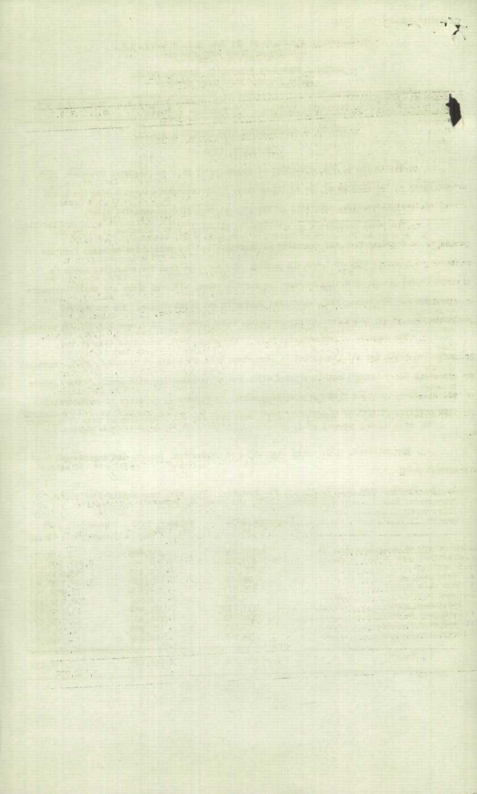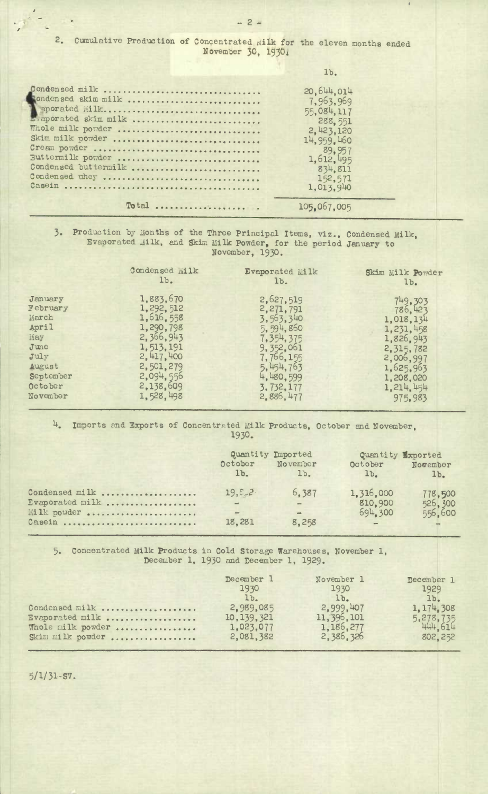|                                                                                                                                                               | LD <sub>z</sub>                                                                                                                           |  |
|---------------------------------------------------------------------------------------------------------------------------------------------------------------|-------------------------------------------------------------------------------------------------------------------------------------------|--|
| condensed milk<br>condensed skim milk<br>Whole milk powder<br>Skim milk powder<br>Cream powder<br>Buttermilk powder<br>Condensed buttermilk<br>Condensed whey | 20, 644, 014<br>7.963.969<br>55.084.117<br>288.551<br>2,423,120<br>14, 959, 460<br>89.957<br>1,612,495<br>834.811<br>152,571<br>1,013.940 |  |
| Total                                                                                                                                                         | 105,067,005                                                                                                                               |  |

3. Production by Months of the Three Principal Items, viz., Condensed Milk,<br>Evaporated Milk, and Skim Milk Powder, for the period January to<br>November, 1930.

|           | Condensed Milk | Evaporated Milk | Skim Milk Powder |
|-----------|----------------|-----------------|------------------|
|           | 1 <sub>b</sub> | $1b$ .          | 1 <sub>b</sub>   |
| January   | 1,883,670      | 2,627,519       | 749.303          |
| February  | 1, 292, 512    | 2, 271, 791     | 786,423          |
| March     | 1,616,558      | 3,563,340       | 1,018,134        |
| April     | 1,290,798      | 5, 594, 860     | 1,231,458        |
| May       | 2,366,943      | 7.354,375       | 1,826,943        |
| June      | 1,513,191      | 9, 352, 061     | 2, 315, 782      |
| July      | 2, 417, 400    | 7,766,155       | 2,006,997        |
| August    | 2,501,279      | 5.454.763       | 1,625,963        |
| September | 2,094,556      | 4.480.599       | 1,208,020        |
| October   | 2.138.609      | 3,732,177       | 1, 214, 454      |
| November  | 1,528,498      | 2,886,477       | 975,983          |

4. Imports and Exports of Concentrated Milk Products, October and November, 1930.

|                                | October<br>1 <sub>b</sub> | Quantity Imported<br>November<br>1 <sub>b</sub> | Quantity Mxported<br>October<br>1 <sub>b</sub> | Nocember<br>1 <sub>b</sub> |
|--------------------------------|---------------------------|-------------------------------------------------|------------------------------------------------|----------------------------|
| Condensed milk                 | 19,5,2                    | 6.387                                           | 1,316,000                                      | 778,500                    |
| Evaporated milk<br>Milk powder | $\overline{\phantom{m}}$  | $\frac{1}{2}$                                   | 810.900<br>694.300                             | 526,300<br>556.600         |
| Casein                         | 18,281                    | 8.258                                           |                                                |                            |

5. Concentrated Milk Products in Cold Storage Warehouses, November 1, December 1, 1930 and December 1, 1929.

| Condensed milk<br>Evaporated milk<br>Whole milk powder<br>Skim milk powder | December 1<br>1930<br>1 <sub>b</sub><br>2,989,085<br>10, 139, 321<br>1,023,077<br>2,081,382 | November 1<br>1930<br>1 <sub>b</sub><br>2,999,407<br>11, 396, 101<br>1,186,277<br>2,386,326 | December 1<br>1929<br>1 <sub>b</sub><br>1, 174, 308<br>5,278,735<br>444.614<br>802.252 |
|----------------------------------------------------------------------------|---------------------------------------------------------------------------------------------|---------------------------------------------------------------------------------------------|----------------------------------------------------------------------------------------|
|                                                                            |                                                                                             |                                                                                             |                                                                                        |

 $5/1/31-SV.$ 

 $\mathbb{C}$